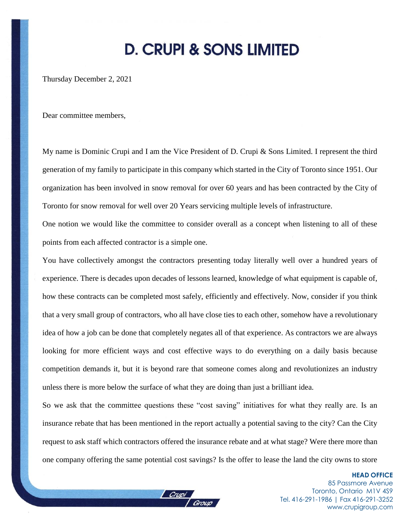## **D. CRUPI & SONS LIMITED**

Thursday December 2, 2021

Dear committee members,

My name is Dominic Crupi and I am the Vice President of D. Crupi & Sons Limited. I represent the third generation of my family to participate in this company which started in the City of Toronto since 1951. Our organization has been involved in snow removal for over 60 years and has been contracted by the City of Toronto for snow removal for well over 20 Years servicing multiple levels of infrastructure.

One notion we would like the committee to consider overall as a concept when listening to all of these points from each affected contractor is a simple one.

You have collectively amongst the contractors presenting today literally well over a hundred years of experience. There is decades upon decades of lessons learned, knowledge of what equipment is capable of, how these contracts can be completed most safely, efficiently and effectively. Now, consider if you think that a very small group of contractors, who all have close ties to each other, somehow have a revolutionary idea of how a job can be done that completely negates all of that experience. As contractors we are always looking for more efficient ways and cost effective ways to do everything on a daily basis because competition demands it, but it is beyond rare that someone comes along and revolutionizes an industry unless there is more below the surface of what they are doing than just a brilliant idea.

So we ask that the committee questions these "cost saving" initiatives for what they really are. Is an insurance rebate that has been mentioned in the report actually a potential saving to the city? Can the City request to ask staff which contractors offered the insurance rebate and at what stage? Were there more than one company offering the same potential cost savings? Is the offer to lease the land the city owns to store

> **HEAD OFFICE** 85 Passmore Avenue Toronto, Ontario M1V 4S9 Tel. 416-291-1986 | Fax 416-291-3252 [www.crupigroup.com](http://www.crupigroup.com/)